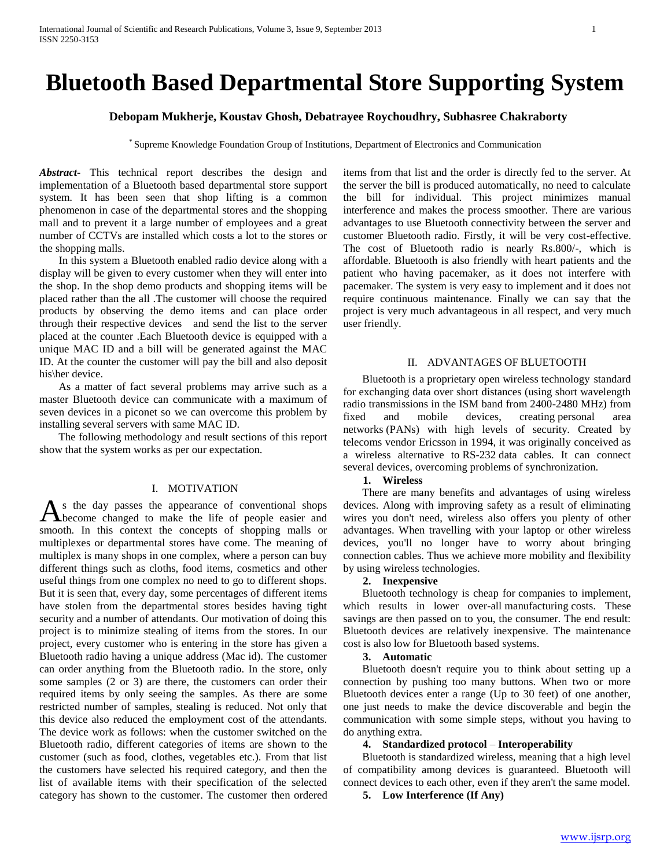# **Bluetooth Based Departmental Store Supporting System**

# **Debopam Mukherje, Koustav Ghosh, Debatrayee Roychoudhry, Subhasree Chakraborty**

\* Supreme Knowledge Foundation Group of Institutions, Department of Electronics and Communication

*Abstract***-** This technical report describes the design and implementation of a Bluetooth based departmental store support system. It has been seen that shop lifting is a common phenomenon in case of the departmental stores and the shopping mall and to prevent it a large number of employees and a great number of CCTVs are installed which costs a lot to the stores or the shopping malls.

 In this system a Bluetooth enabled radio device along with a display will be given to every customer when they will enter into the shop. In the shop demo products and shopping items will be placed rather than the all .The customer will choose the required products by observing the demo items and can place order through their respective devices and send the list to the server placed at the counter .Each Bluetooth device is equipped with a unique MAC ID and a bill will be generated against the MAC ID. At the counter the customer will pay the bill and also deposit his\her device.

 As a matter of fact several problems may arrive such as a master Bluetooth device can communicate with a maximum of seven devices in a piconet so we can overcome this problem by installing several servers with same MAC ID.

 The following methodology and result sections of this report show that the system works as per our expectation.

# I. MOTIVATION

s the day passes the appearance of conventional shops As the day passes the appearance of conventional shops<br>become changed to make the life of people easier and smooth. In this context the concepts of shopping malls or multiplexes or departmental stores have come. The meaning of multiplex is many shops in one complex, where a person can buy different things such as cloths, food items, cosmetics and other useful things from one complex no need to go to different shops. But it is seen that, every day, some percentages of different items have stolen from the departmental stores besides having tight security and a number of attendants. Our motivation of doing this project is to minimize stealing of items from the stores. In our project, every customer who is entering in the store has given a Bluetooth radio having a unique address (Mac id). The customer can order anything from the Bluetooth radio. In the store, only some samples (2 or 3) are there, the customers can order their required items by only seeing the samples. As there are some restricted number of samples, stealing is reduced. Not only that this device also reduced the employment cost of the attendants. The device work as follows: when the customer switched on the Bluetooth radio, different categories of items are shown to the customer (such as food, clothes, vegetables etc.). From that list the customers have selected his required category, and then the list of available items with their specification of the selected category has shown to the customer. The customer then ordered

items from that list and the order is directly fed to the server. At the server the bill is produced automatically, no need to calculate the bill for individual. This project minimizes manual interference and makes the process smoother. There are various advantages to use Bluetooth connectivity between the server and customer Bluetooth radio. Firstly, it will be very cost-effective. The cost of Bluetooth radio is nearly Rs.800/-, which is affordable. Bluetooth is also friendly with heart patients and the patient who having pacemaker, as it does not interfere with pacemaker. The system is very easy to implement and it does not require continuous maintenance. Finally we can say that the project is very much advantageous in all respect, and very much user friendly.

## II. ADVANTAGES OF BLUETOOTH

 Bluetooth is a proprietary open wireless technology standard for exchanging data over short distances (using short wavelength radio transmissions in the ISM band from 2400-2480 MHz) from fixed and mobile devices, creating personal area networks (PANs) with high levels of security. Created by telecoms vendor Ericsson in 1994, it was originally conceived as a wireless alternative to RS-232 data cables. It can connect several devices, overcoming problems of synchronization.

## **1. Wireless**

 There are many benefits and advantages of using wireless devices. Along with improving safety as a result of eliminating wires you don't need, wireless also offers you plenty of other advantages. When travelling with your laptop or other wireless devices, you'll no longer have to worry about bringing connection cables. Thus we achieve more mobility and flexibility by using wireless technologies.

## **2. Inexpensive**

 Bluetooth technology is cheap for companies to implement, which results in lower over-all-manufacturing costs. These savings are then passed on to you, the consumer. The end result: Bluetooth devices are relatively inexpensive. The maintenance cost is also low for Bluetooth based systems.

#### **3. Automatic**

 Bluetooth doesn't require you to think about setting up a connection by pushing too many buttons. When two or more Bluetooth devices enter a range (Up to 30 feet) of one another, one just needs to make the device discoverable and begin the communication with some simple steps, without you having to do anything extra.

## **4. Standardized protocol** – **Interoperability**

 Bluetooth is standardized wireless, meaning that a high level of compatibility among devices is guaranteed. Bluetooth will connect devices to each other, even if they aren't the same model.

## **5. Low Interference (If Any)**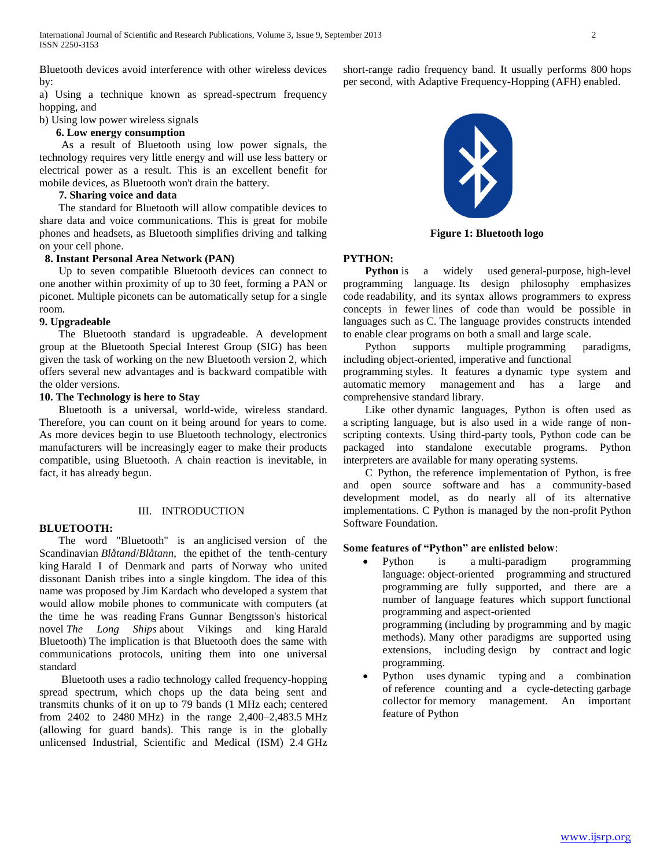Bluetooth devices avoid interference with other wireless devices by:

a) Using a technique known as spread-spectrum frequency hopping, and

b) Using low power wireless signals

# **6. Low energy consumption**

 As a result of Bluetooth using low power signals, the technology requires very little energy and will use less battery or electrical power as a result. This is an excellent benefit for mobile devices, as Bluetooth won't drain the battery.

## **7. Sharing voice and data**

 The standard for Bluetooth will allow compatible devices to share data and voice communications. This is great for mobile phones and headsets, as Bluetooth simplifies driving and talking on your cell phone.

# **8. Instant Personal Area Network (PAN)**

 Up to seven compatible Bluetooth devices can connect to one another within proximity of up to 30 feet, forming a PAN or piconet. Multiple piconets can be automatically setup for a single room.

#### **9. Upgradeable**

 The Bluetooth standard is upgradeable. A development group at the Bluetooth Special Interest Group (SIG) has been given the task of working on the new Bluetooth version 2, which offers several new advantages and is backward compatible with the older versions.

## **10. The Technology is here to Stay**

 Bluetooth is a universal, world-wide, wireless standard. Therefore, you can count on it being around for years to come. As more devices begin to use Bluetooth technology, electronics manufacturers will be increasingly eager to make their products compatible, using Bluetooth. A chain reaction is inevitable, in fact, it has already begun.

## III. INTRODUCTION

#### **BLUETOOTH:**

 The word "Bluetooth" is an anglicised version of the Scandinavian *Blåtand*/*Blåtann*, the epithet of the tenth-century king Harald I of Denmark and parts of Norway who united dissonant Danish tribes into a single kingdom. The idea of this name was proposed by Jim Kardach who developed a system that would allow mobile phones to communicate with computers (at the time he was reading Frans Gunnar Bengtsson's historical novel *The Long Ships* about Vikings and king Harald Bluetooth) The implication is that Bluetooth does the same with communications protocols, uniting them into one universal standard

 Bluetooth uses a radio technology called frequency-hopping spread spectrum, which chops up the data being sent and transmits chunks of it on up to 79 bands (1 MHz each; centered from 2402 to 2480 MHz) in the range 2,400–2,483.5 MHz (allowing for guard bands). This range is in the globally unlicensed Industrial, Scientific and Medical (ISM) 2.4 GHz

short-range radio frequency band. It usually performs 800 hops per second, with Adaptive Frequency-Hopping (AFH) enabled.



**Figure 1: Bluetooth logo**

# **PYTHON:**

**Python** is a widely used general-purpose, high-level programming language. Its design philosophy emphasizes code readability, and its syntax allows programmers to express concepts in fewer lines of code than would be possible in languages such as C. The language provides constructs intended to enable clear programs on both a small and large scale.

Python supports multiple programming paradigms, including object-oriented, imperative and functional

programming styles. It features a dynamic type system and automatic memory management and has a large and comprehensive standard library.

Like other dynamic languages, Python is often used as a scripting language, but is also used in a wide range of nonscripting contexts. Using third-party tools, Python code can be packaged into standalone executable programs. Python interpreters are available for many operating systems.

C Python, the reference implementation of Python, is free and open source software and has a community-based development model, as do nearly all of its alternative implementations. C Python is managed by the non-profit Python Software Foundation.

# **Some features of "Python" are enlisted below**:

• Python is a multi-paradigm programming language: object-oriented programming and structured programming are fully supported, and there are a number of language features which support functional programming and aspect-oriented

programming (including by programming and by magic methods). Many other paradigms are supported using extensions, including design by contract and logic programming.

 Python uses dynamic typing and a combination of reference counting and a cycle-detecting garbage collector for memory management. An important feature of Python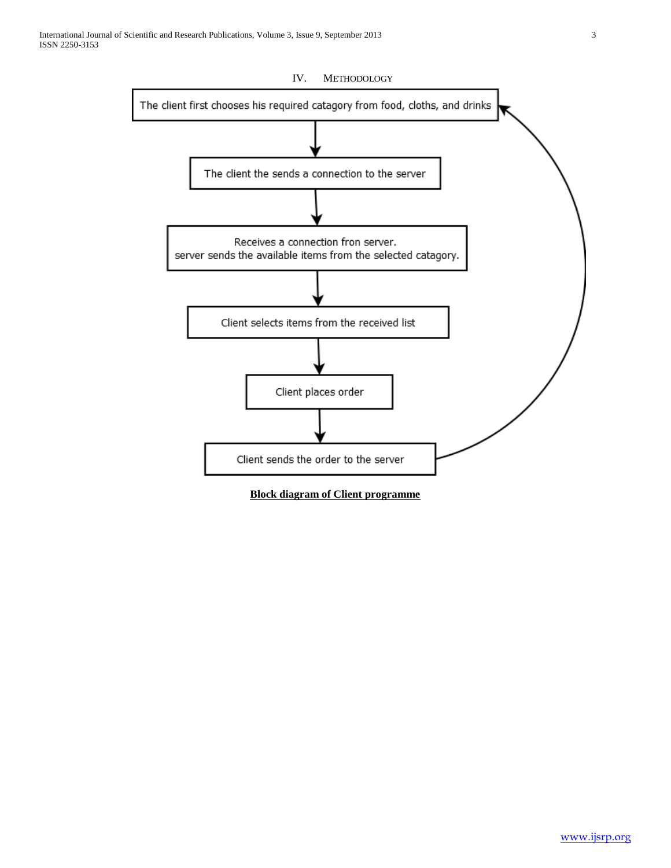

**Block diagram of Client programme**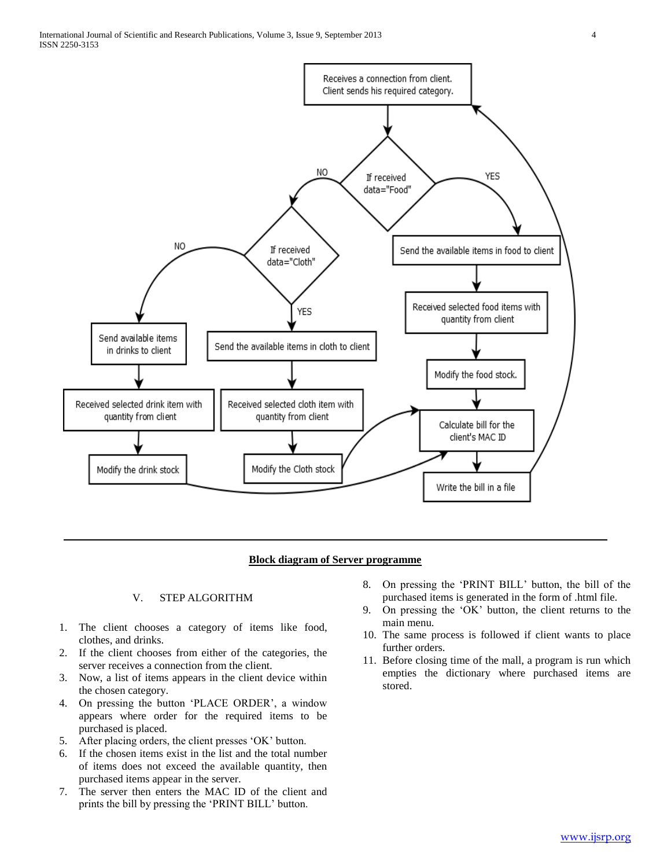

# **Block diagram of Server programme**

## V. STEP ALGORITHM

- 1. The client chooses a category of items like food, clothes, and drinks.
- 2. If the client chooses from either of the categories, the server receives a connection from the client.
- 3. Now, a list of items appears in the client device within the chosen category.
- 4. On pressing the button 'PLACE ORDER', a window appears where order for the required items to be purchased is placed.
- 5. After placing orders, the client presses 'OK' button.
- 6. If the chosen items exist in the list and the total number of items does not exceed the available quantity, then purchased items appear in the server.
- 7. The server then enters the MAC ID of the client and prints the bill by pressing the 'PRINT BILL' button.
- 8. On pressing the 'PRINT BILL' button, the bill of the purchased items is generated in the form of .html file.
- 9. On pressing the 'OK' button, the client returns to the main menu.
- 10. The same process is followed if client wants to place further orders.
- 11. Before closing time of the mall, a program is run which empties the dictionary where purchased items are stored.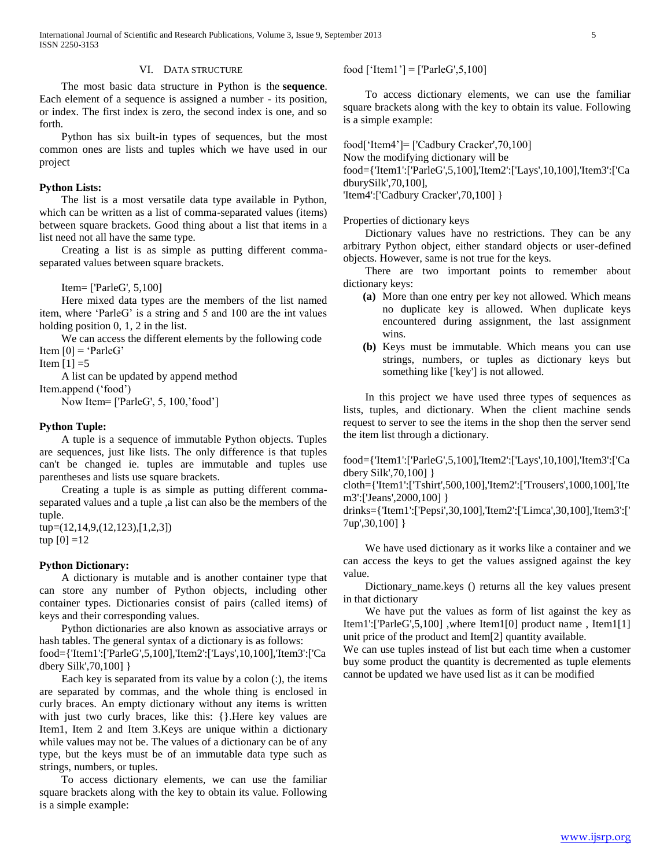## VI. DATA STRUCTURE

 The most basic data structure in Python is the **sequence**. Each element of a sequence is assigned a number - its position, or index. The first index is zero, the second index is one, and so forth.

 Python has six built-in types of sequences, but the most common ones are lists and tuples which we have used in our project

## **Python Lists:**

 The list is a most versatile data type available in Python, which can be written as a list of comma-separated values (items) between square brackets. Good thing about a list that items in a list need not all have the same type.

 Creating a list is as simple as putting different commaseparated values between square brackets.

Item= ['ParleG', 5,100]

 Here mixed data types are the members of the list named item, where 'ParleG' is a string and 5 and 100 are the int values holding position 0, 1, 2 in the list.

 We can access the different elements by the following code Item  $[0] = 'ParleG'$ 

Item  $[1] = 5$ 

 A list can be updated by append method Item.append ('food')

Now Item= ['ParleG', 5, 100,'food']

## **Python Tuple:**

 A tuple is a sequence of immutable Python objects. Tuples are sequences, just like lists. The only difference is that tuples can't be changed ie. tuples are immutable and tuples use parentheses and lists use square brackets.

 Creating a tuple is as simple as putting different commaseparated values and a tuple ,a list can also be the members of the tuple.

tup=(12,14,9,(12,123),[1,2,3]) tup  $[0] = 12$ 

## **Python Dictionary:**

 A dictionary is mutable and is another container type that can store any number of Python objects, including other container types. Dictionaries consist of pairs (called items) of keys and their corresponding values.

 Python dictionaries are also known as associative arrays or hash tables. The general syntax of a dictionary is as follows: food={'Item1':['ParleG',5,100],'Item2':['Lays',10,100],'Item3':['Ca

dbery Silk',70,100] }

Each key is separated from its value by a colon  $(.)$ , the items are separated by commas, and the whole thing is enclosed in curly braces. An empty dictionary without any items is written with just two curly braces, like this: {}.Here key values are Item1, Item 2 and Item 3.Keys are unique within a dictionary while values may not be. The values of a dictionary can be of any type, but the keys must be of an immutable data type such as strings, numbers, or tuples.

 To access dictionary elements, we can use the familiar square brackets along with the key to obtain its value. Following is a simple example:

food ['Item1'] = ['ParleG',5,100]

 To access dictionary elements, we can use the familiar square brackets along with the key to obtain its value. Following is a simple example:

food['Item4']= ['Cadbury Cracker',70,100]

Now the modifying dictionary will be

food={'Item1':['ParleG',5,100],'Item2':['Lays',10,100],'Item3':['Ca dburySilk',70,100],

'Item4':['Cadbury Cracker',70,100] }

Properties of dictionary keys

 Dictionary values have no restrictions. They can be any arbitrary Python object, either standard objects or user-defined objects. However, same is not true for the keys.

 There are two important points to remember about dictionary keys:

- **(a)** More than one entry per key not allowed. Which means no duplicate key is allowed. When duplicate keys encountered during assignment, the last assignment wins.
- **(b)** Keys must be immutable. Which means you can use strings, numbers, or tuples as dictionary keys but something like ['key'] is not allowed.

 In this project we have used three types of sequences as lists, tuples, and dictionary. When the client machine sends request to server to see the items in the shop then the server send the item list through a dictionary.

food={'Item1':['ParleG',5,100],'Item2':['Lays',10,100],'Item3':['Ca dbery Silk',70,100] }

cloth={'Item1':['Tshirt',500,100],'Item2':['Trousers',1000,100],'Ite m3':['Jeans',2000,100] }

drinks={'Item1':['Pepsi',30,100],'Item2':['Limca',30,100],'Item3':[' 7up',30,100] }

 We have used dictionary as it works like a container and we can access the keys to get the values assigned against the key value.

 Dictionary\_name.keys () returns all the key values present in that dictionary

 We have put the values as form of list against the key as Item1':['ParleG',5,100] ,where Item1[0] product name , Item1[1] unit price of the product and Item[2] quantity available.

We can use tuples instead of list but each time when a customer buy some product the quantity is decremented as tuple elements cannot be updated we have used list as it can be modified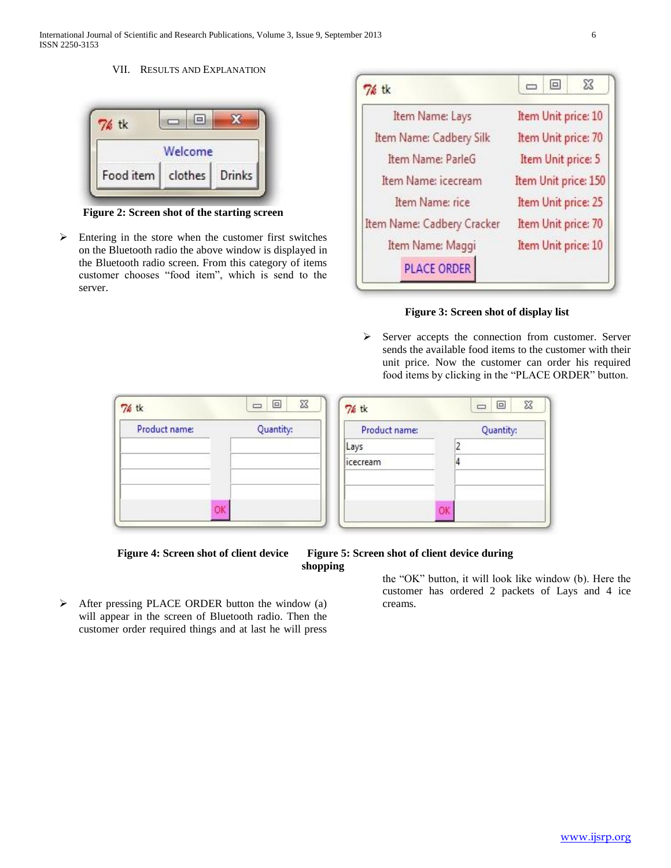International Journal of Scientific and Research Publications, Volume 3, Issue 9, September 2013 6 ISSN 2250-3153

## VII. RESULTS AND EXPLANATION

| 76 tk     |                |  |
|-----------|----------------|--|
|           | Welcome        |  |
| Food item | clothes Drinks |  |

**Figure 2: Screen shot of the starting screen**

 $\triangleright$  Entering in the store when the customer first switches on the Bluetooth radio the above window is displayed in the Bluetooth radio screen. From this category of items customer chooses "food item", which is send to the server.

| 76 tk                      | 53<br>$\boxed{\square}$<br>$\overline{ }$ |  |  |
|----------------------------|-------------------------------------------|--|--|
| Item Name: Lays            | Item Unit price: 10                       |  |  |
| Item Name: Cadbery Silk    | Item Unit price: 70                       |  |  |
| Item Name: ParleG          | Item Unit price: 5                        |  |  |
| Item Name: icecream        | Item Unit price: 150                      |  |  |
| Item Name: rice            | Item Unit price: 25                       |  |  |
| Item Name: Cadbery Cracker | Item Unit price: 70                       |  |  |
| Item Name: Maggi           | Item Unit price: 10                       |  |  |
| <b>PLACE ORDER</b>         |                                           |  |  |



 $\triangleright$  Server accepts the connection from customer. Server sends the available food items to the customer with their unit price. Now the customer can order his required food items by clicking in the "PLACE ORDER" button.

| 76 tk         | $\Box$<br>$\Sigma$<br>$\boxed{\square}$ | 76 tk           | $\boxed{\square}$<br>$\Sigma$<br>$\Box$ |
|---------------|-----------------------------------------|-----------------|-----------------------------------------|
| Product name: | Quantity:                               | Product name:   | Quantity:                               |
|               |                                         | Lays            |                                         |
|               |                                         | <i>icecream</i> | 4                                       |
| ОK            |                                         |                 | OK                                      |

 $\triangleright$  After pressing PLACE ORDER button the window (a) will appear in the screen of Bluetooth radio. Then the customer order required things and at last he will press

Figure 4: Screen shot of client device Figure 5: Screen shot of client device during **shopping** 

> the "OK" button, it will look like window (b). Here the customer has ordered 2 packets of Lays and 4 ice creams.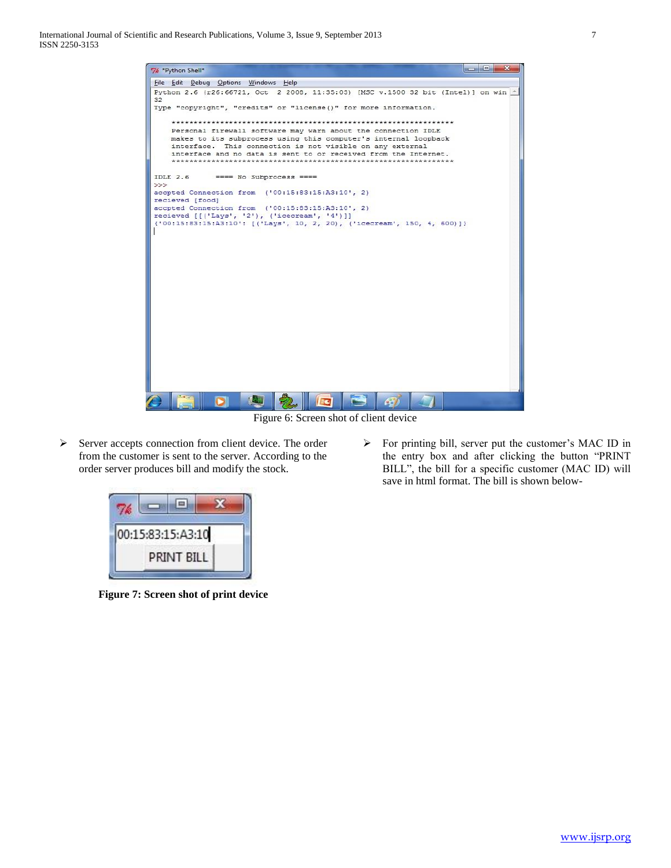

Figure 6: Screen shot of client device

- $\triangleright$  Server accepts connection from client device. The order from the customer is sent to the server. According to the order server produces bill and modify the stock.
- $\triangleright$  For printing bill, server put the customer's MAC ID in the entry box and after clicking the button "PRINT BILL", the bill for a specific customer (MAC ID) will save in html format. The bill is shown below-



**Figure 7: Screen shot of print device**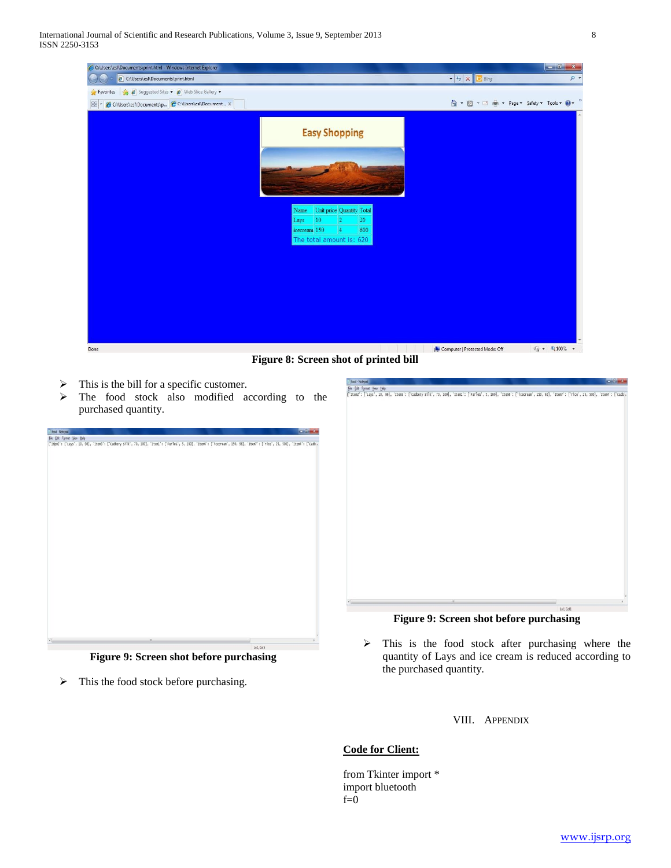

**Figure 8: Screen shot of printed bill**

- $\triangleright$  This is the bill for a specific customer.
- > The food stock also modified according to the purchased quantity.

| food - Notepad             |                                                                                                                                                                           |   |       | <b>Band Dispersion</b> |
|----------------------------|---------------------------------------------------------------------------------------------------------------------------------------------------------------------------|---|-------|------------------------|
| File Edit Format View Help |                                                                                                                                                                           |   |       |                        |
|                            | ('Iten2': ['Lays', 10, 98], 'Iten3': ['cadbery silk', 70, 100], 'Iten1': ['Parles', 5, 100], 'Iten6': ['icecream', 150, 96], 'Iten7': ['rice', 25, 500], 'Iten4': ['cadba |   |       |                        |
|                            |                                                                                                                                                                           |   |       |                        |
|                            |                                                                                                                                                                           |   |       |                        |
|                            |                                                                                                                                                                           |   |       |                        |
|                            |                                                                                                                                                                           |   |       |                        |
|                            |                                                                                                                                                                           |   |       |                        |
|                            |                                                                                                                                                                           |   |       |                        |
|                            |                                                                                                                                                                           |   |       |                        |
|                            |                                                                                                                                                                           |   |       |                        |
|                            |                                                                                                                                                                           |   |       |                        |
|                            |                                                                                                                                                                           |   |       |                        |
|                            |                                                                                                                                                                           |   |       |                        |
|                            |                                                                                                                                                                           |   |       |                        |
|                            |                                                                                                                                                                           |   |       |                        |
|                            |                                                                                                                                                                           |   |       |                        |
|                            |                                                                                                                                                                           |   |       |                        |
|                            |                                                                                                                                                                           |   |       |                        |
|                            |                                                                                                                                                                           |   |       |                        |
|                            |                                                                                                                                                                           |   |       |                        |
|                            |                                                                                                                                                                           |   |       |                        |
|                            |                                                                                                                                                                           |   |       |                        |
|                            |                                                                                                                                                                           |   |       |                        |
|                            |                                                                                                                                                                           |   |       |                        |
|                            |                                                                                                                                                                           |   |       |                        |
|                            |                                                                                                                                                                           |   |       |                        |
|                            |                                                                                                                                                                           |   |       |                        |
|                            |                                                                                                                                                                           |   |       |                        |
|                            |                                                                                                                                                                           |   |       |                        |
|                            |                                                                                                                                                                           |   |       |                        |
|                            |                                                                                                                                                                           |   |       |                        |
|                            |                                                                                                                                                                           |   |       |                        |
|                            |                                                                                                                                                                           |   |       |                        |
| $x_{\rm max}$              |                                                                                                                                                                           | n |       |                        |
|                            |                                                                                                                                                                           |   | 1.441 |                        |

**Figure 9: Screen shot before purchasing**

 $\triangleright$  This the food stock before purchasing.



**Figure 9: Screen shot before purchasing**

- $\triangleright$  This is the food stock after purchasing where the quantity of Lays and ice cream is reduced according to the purchased quantity.
	- VIII. APPENDIX

# **Code for Client:**

from Tkinter import \* import bluetooth  $f=0$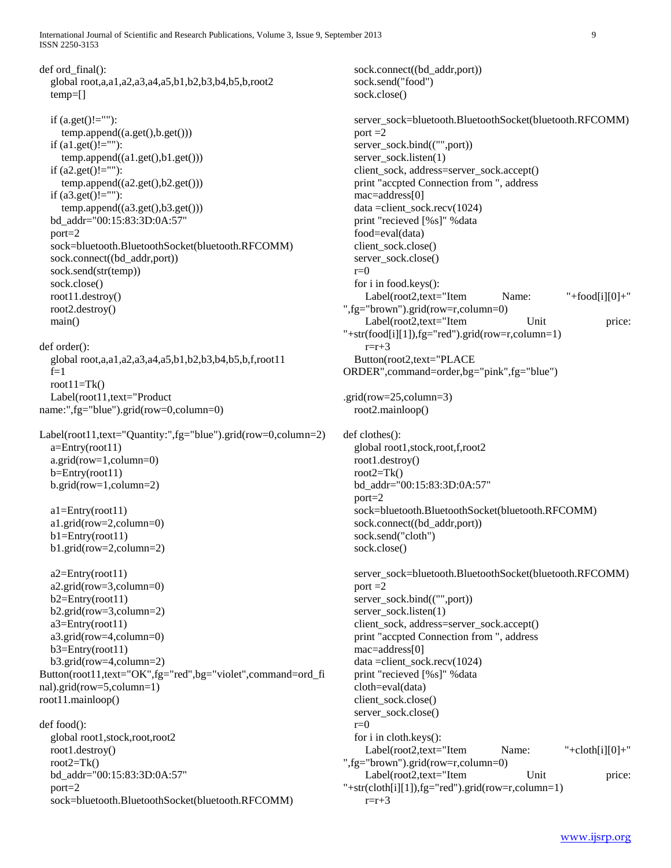International Journal of Scientific and Research Publications, Volume 3, Issue 9, September 2013 9 ISSN 2250-3153

def ord final(): global root,a,a1,a2,a3,a4,a5,b1,b2,b3,b4,b5,b,root2 temp=[] if  $(a.get()!="")$ : temp.append((a.get(),b.get())) if  $(a1.get()!=$ ""): temp.append((a1.get(),b1.get())) if  $(a2.get()!="")$ : temp.append((a2.get(),b2.get())) if  $(a3.get()!="")$ :  $temp.append((a3.get(),b3.get())$  bd\_addr="00:15:83:3D:0A:57" port=2 sock=bluetooth.BluetoothSocket(bluetooth.RFCOMM) sock.connect((bd\_addr,port)) sock.send(str(temp)) sock.close() root11.destroy() root2.destroy() main() def order(): global root,a,a1,a2,a3,a4,a5,b1,b2,b3,b4,b5,b,f,root11  $f=1$ root $11=Tk()$  Label(root11,text="Product name:",fg="blue").grid(row=0,column=0) Label(root11,text="Quantity:",fg="blue").grid(row=0,column=2)  $a=Entry(root11)$  a.grid(row=1,column=0) b=Entry(root11) b.grid(row=1,column=2) a1=Entry(root11) a1.grid(row=2,column=0)  $b1=Entry(root11)$  b1.grid(row=2,column=2) a2=Entry(root11) a2.grid(row=3,column=0)  $b2=Entry(root11)$  b2.grid(row=3,column=2) a3=Entry(root11) a3.grid(row=4,column=0) b3=Entry(root11) b3.grid(row=4,column=2) Button(root11,text="OK",fg="red",bg="violet",command=ord\_fi nal).grid(row=5,column=1) root11.mainloop() def food(): global root1,stock,root,root2 root1.destroy() root $2=Tk()$  bd\_addr="00:15:83:3D:0A:57" port=2 sock=bluetooth.BluetoothSocket(bluetooth.RFCOMM)

sock.connect((bd\_addr,port)) sock.send("food") sock.close() server\_sock=bluetooth.BluetoothSocket(bluetooth.RFCOMM) port  $=2$  server\_sock.bind(("",port)) server\_sock.listen(1) client\_sock, address=server\_sock.accept() print "accpted Connection from ", address mac=address[0] data = client\_sock.recv( $1024$ ) print "recieved [%s]" %data food=eval(data) client\_sock.close() server\_sock.close()  $r=0$  for i in food.keys(): Label(root2,text="Item Name: "+food[i][0]+" ",fg="brown").grid(row=r,column=0) Label(root2,text="Item Unit price: "+str(food[i][1]),fg="red").grid(row=r,column=1)  $r=r+3$  Button(root2,text="PLACE ORDER",command=order,bg="pink",fg="blue") .grid(row=25,column=3) root2.mainloop() def clothes(): global root1,stock,root,f,root2 root1.destroy() root $2=Tk()$  bd\_addr="00:15:83:3D:0A:57" port=2 sock=bluetooth.BluetoothSocket(bluetooth.RFCOMM) sock.connect((bd\_addr,port)) sock.send("cloth") sock.close() server\_sock=bluetooth.BluetoothSocket(bluetooth.RFCOMM) port  $=2$ server\_sock.bind(("",port)) server\_sock.listen(1) client\_sock, address=server\_sock.accept() print "accpted Connection from ", address mac=address[0] data =client\_sock.recv(1024) print "recieved [%s]" %data cloth=eval(data) client\_sock.close() server\_sock.close()  $r=0$  for i in cloth.keys(): Label(root2,text="Item Name: "+cloth[i][0]+" ",fg="brown").grid(row=r,column=0) Label(root2,text="Item Unit price: "+str(cloth[i][1]),fg="red").grid(row=r,column=1)  $r=r+3$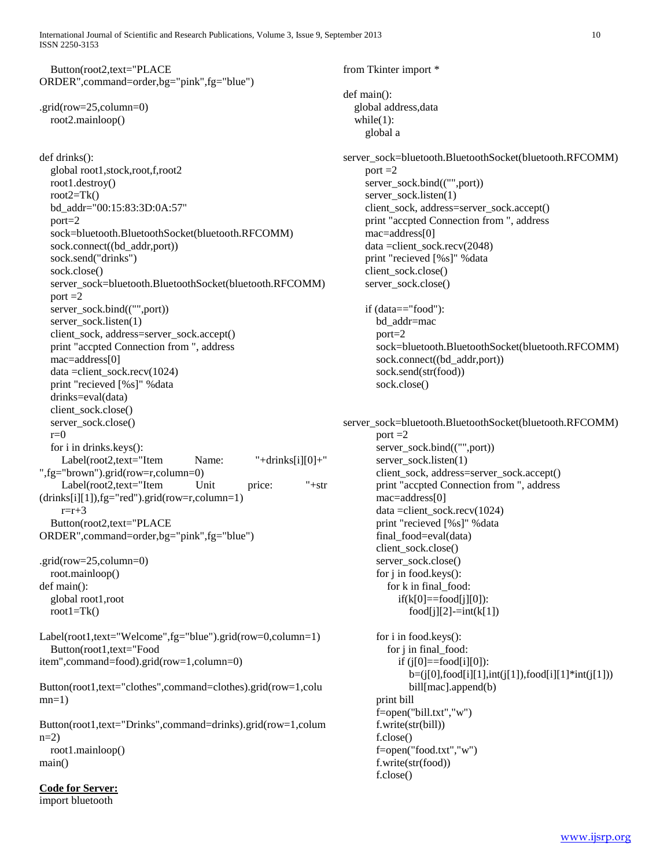International Journal of Scientific and Research Publications, Volume 3, Issue 9, September 2013 10 ISSN 2250-3153

 Button(root2,text="PLACE ORDER",command=order,bg="pink",fg="blue")

.grid(row=25,column=0) root2.mainloop()

def drinks(): global root1,stock,root,f,root2 root1.destroy() root $2=Tk()$  bd\_addr="00:15:83:3D:0A:57" port=2 sock=bluetooth.BluetoothSocket(bluetooth.RFCOMM) sock.connect((bd\_addr,port)) sock.send("drinks") sock.close() server\_sock=bluetooth.BluetoothSocket(bluetooth.RFCOMM) port  $=2$ server\_sock.bind(("",port)) server\_sock.listen(1) client\_sock, address=server\_sock.accept() print "accpted Connection from ", address mac=address[0] data =client\_sock.recv(1024) print "recieved [%s]" %data drinks=eval(data) client\_sock.close() server\_sock.close()  $r=0$  for i in drinks.keys(): Label(root2,text="Item Name: "+drinks[i][0]+" ",fg="brown").grid(row=r,column=0) Label(root2,text="Item Unit price: "+str (drinks[i][1]),fg="red").grid(row=r,column=1)  $r=r+3$  Button(root2,text="PLACE ORDER",command=order,bg="pink",fg="blue") .grid(row=25,column=0) root.mainloop() def main():

 global root1,root root $1 = Tk()$ 

Label(root1,text="Welcome",fg="blue").grid(row=0,column=1) Button(root1,text="Food item",command=food).grid(row=1,column=0)

Button(root1,text="clothes",command=clothes).grid(row=1,colu  $mn=1$ )

Button(root1,text="Drinks",command=drinks).grid(row=1,colum  $n=2$ ) root1.mainloop() main()

```
Code for Server:
```
import bluetooth

from Tkinter import \* def main(): global address,data while $(1)$ : global a

server\_sock=bluetooth.BluetoothSocket(bluetooth.RFCOMM) port  $=2$  server\_sock.bind(("",port)) server\_sock.listen(1) client\_sock, address=server\_sock.accept() print "accpted Connection from ", address mac=address[0] data =client\_sock.recv(2048) print "recieved [%s]" %data client\_sock.close() server\_sock.close()

 if (data=="food"): bd\_addr=mac port=2 sock=bluetooth.BluetoothSocket(bluetooth.RFCOMM) sock.connect((bd\_addr,port)) sock.send(str(food)) sock.close()

server\_sock=bluetooth.BluetoothSocket(bluetooth.RFCOMM) port  $=2$ server\_sock.bind(("",port)) server\_sock.listen(1) client\_sock, address=server\_sock.accept() print "accpted Connection from ", address mac=address[0] data =client\_sock.recv(1024) print "recieved [%s]" %data final\_food=eval(data) client\_sock.close() server\_sock.close() for j in food.keys(): for k in final\_food:  $if(k[0]=\text{food}[j][0]):$  $food[j][2]$ - $=int(k[1])$  for i in food.keys(): for j in final\_food: if  $(j[0]=\text{food}[i][0])$ : b=(j[0],food[i][1],int(j[1]),food[i][1]\*int(j[1])) bill[mac].append(b) print bill f=open("bill.txt","w") f.write(str(bill)) f.close() f=open("food.txt","w")

f.write(str(food))

f.close()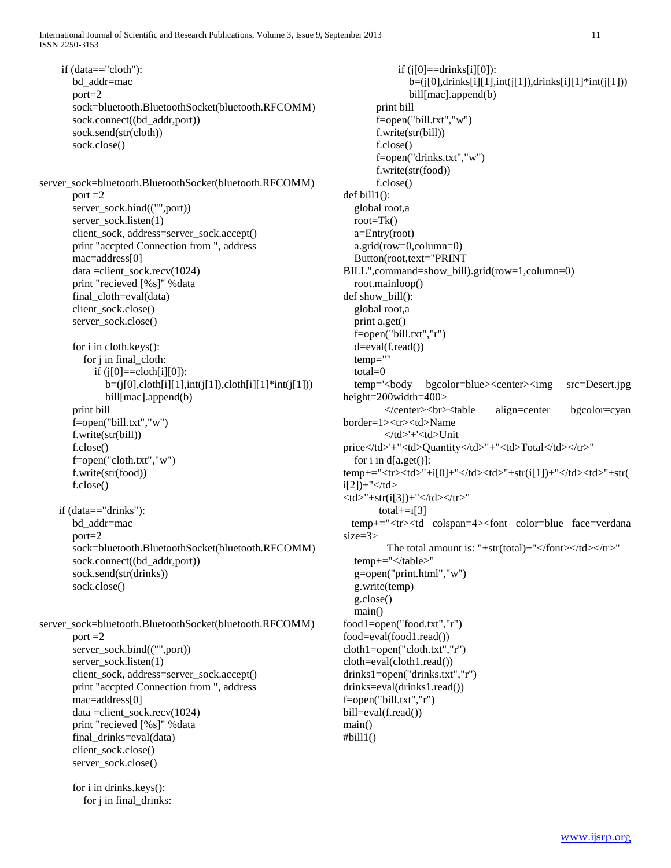if (data=="cloth"): bd\_addr=mac port=2 sock=bluetooth.BluetoothSocket(bluetooth.RFCOMM) sock.connect((bd\_addr,port)) sock.send(str(cloth)) sock.close() server\_sock=bluetooth.BluetoothSocket(bluetooth.RFCOMM) port  $=2$ server\_sock.bind(("",port)) server\_sock.listen(1) client\_sock, address=server\_sock.accept() print "accpted Connection from ", address mac=address[0] data =client\_sock.recv(1024) print "recieved [%s]" %data final cloth=eval(data) client\_sock.close() server\_sock.close() for i in cloth.keys(): for j in final\_cloth: if  $(j[0]=\text{coloth}[i][0])$ :  $b=(j[0], \text{cloth}[i][1], \text{int}(j[1]), \text{cloth}[i][1]*\text{int}(j[1]))$  bill[mac].append(b) print bill f=open("bill.txt","w") f.write(str(bill)) f.close() f=open("cloth.txt","w") f.write(str(food)) f.close() if (data=="drinks"): bd\_addr=mac port=2 sock=bluetooth.BluetoothSocket(bluetooth.RFCOMM) sock.connect((bd\_addr,port)) sock.send(str(drinks)) sock.close() server\_sock=bluetooth.BluetoothSocket(bluetooth.RFCOMM) port  $=2$  server\_sock.bind(("",port)) server\_sock.listen(1) client\_sock, address=server\_sock.accept() print "accpted Connection from ", address mac=address[0]  $data = client\; sock.recv(1024)$  print "recieved [%s]" %data final drinks=eval(data) client\_sock.close() server\_sock.close() for i in drinks.keys():

for j in final\_drinks:

if  $(i[0]==drinks[i][0])$ : b=(j[0],drinks[i][1],int(j[1]),drinks[i][1]\*int(j[1])) bill[mac].append(b) print bill f=open("bill.txt","w") f.write(str(bill)) f.close() f=open("drinks.txt","w") f.write(str(food)) f.close()  $def$  bill $1()$ : global root,a root=Tk() a=Entry(root) a.grid(row=0,column=0) Button(root,text="PRINT BILL",command=show\_bill).grid(row=1,column=0) root.mainloop() def show bill(): global root,a print a.get() f=open("bill.txt","r") d=eval(f.read()) temp="" total=0 temp='<body bgcolor=blue><center><img src=Desert.jpg height=200width=400> </center><br><table align=center bgcolor=cyan border=1><tr><td>Name </td>'+'<td>Unit price</td>'+"<td>Quantity</td>"+"<td>Total</td></tr>" for i in  $d[a.get()]$ : temp+="<tr><td>"+i[0]+"</td><td>"+str(i[1])+"</td><td>"+str(  $i[2]$ )+"</td>  $<$ td>"+str(i[3])+"</td></tr>" total $+$ =i[3] temp+="<tr><td colspan=4><font color=blue face=verdana size=3> The total amount is: "+str(total)+"</font></td></tr>" temp+="</table>" g=open("print.html","w") g.write(temp) g.close() main() food1=open("food.txt","r") food=eval(food1.read()) cloth1=open("cloth.txt","r") cloth=eval(cloth1.read()) drinks1=open("drinks.txt","r") drinks=eval(drinks1.read()) f=open("bill.txt","r") bill=eval(f.read()) main()

 $#$ bill $1()$